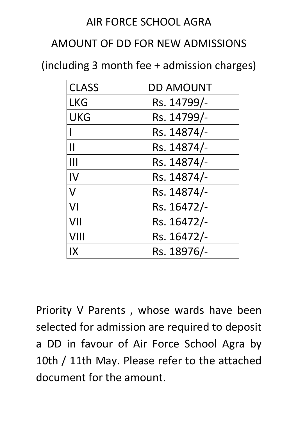## AIR FORCE SCHOOL AGRA

## AMOUNT OF DD FOR NEW ADMISSIONS

(including 3 month fee + admission charges)

| <b>CLASS</b>            | <b>DD AMOUNT</b> |
|-------------------------|------------------|
| <b>LKG</b>              | Rs. 14799/-      |
| <b>UKG</b>              | Rs. 14799/-      |
|                         | Rs. 14874/-      |
| $\mathsf{I}\mathsf{I}$  | Rs. 14874/-      |
| Ш                       | Rs. 14874/-      |
| IV                      | Rs. 14874/-      |
| $\overline{\mathsf{V}}$ | Rs. 14874/-      |
| VI                      | Rs. 16472/-      |
| VII                     | Rs. 16472/-      |
| VIII                    | Rs. 16472/-      |
| IX                      | Rs. 18976/-      |

Priority V Parents , whose wards have been selected for admission are required to deposit a DD in favour of Air Force School Agra by 10th / 11th May. Please refer to the attached document for the amount.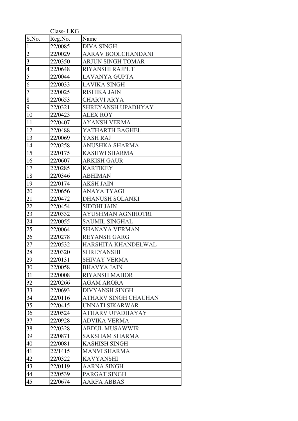|                 | Class-LKG |                           |
|-----------------|-----------|---------------------------|
| S.No.           | Reg.No.   | Name                      |
| $\mathbf{1}$    | 22/0085   | <b>DIVA SINGH</b>         |
| $\overline{c}$  | 22/0029   | AARAV BOOLCHANDANI        |
| $\mathfrak{Z}$  | 22/0350   | <b>ARJUN SINGH TOMAR</b>  |
| $\overline{4}$  | 22/0648   | RIYANSHI RAJPUT           |
| $\overline{5}$  | 22/0044   | <b>LAVANYA GUPTA</b>      |
| $\overline{6}$  | 22/0033   | <b>LAVIKA SINGH</b>       |
| $\overline{7}$  | 22/0025   | <b>RISHIKA JAIN</b>       |
| 8               | 22/0653   | <b>CHARVI ARYA</b>        |
| $\overline{9}$  | 22/0321   | SHREYANSH UPADHYAY        |
| 10              | 22/0423   | <b>ALEX ROY</b>           |
| 11              | 22/0407   | <b>AYANSH VERMA</b>       |
| 12              | 22/0488   | YATHARTH BAGHEL           |
| 13              | 22/0069   | YASH RAJ                  |
| 14              | 22/0258   | <b>ANUSHKA SHARMA</b>     |
| 15              | 22/0175   | <b>KASHWI SHARMA</b>      |
| 16              | 22/0607   | <b>ARKISH GAUR</b>        |
| 17              | 22/0285   | <b>KARTIKEY</b>           |
| 18              | 22/0346   | <b>ABHIMAN</b>            |
| 19              | 22/0174   | <b>AKSH JAIN</b>          |
| 20              | 22/0656   | <b>ANAYA TYAGI</b>        |
| 21              | 22/0472   | DHANUSH SOLANKI           |
| 22              | 22/0454   | <b>SIDDHI JAIN</b>        |
| 23              | 22/0332   | <b>AYUSHMAN AGNIHOTRI</b> |
| 24              | 22/0055   | <b>SAUMIL SINGHAL</b>     |
| $\overline{25}$ | 22/0064   | <b>SHANAYA VERMAN</b>     |
| 26              | 22/0278   | <b>REYANSH GARG</b>       |
| 27              | 22/0532   | HARSHITA KHANDELWAL       |
| 28              | 22/0320   | <b>SHREYANSHI</b>         |
| 29              | 22/0131   | <b>SHIVAY VERMA</b>       |
| 30              | 22/0058   | <b>BHAVYA JAIN</b>        |
| 31              | 22/0008   | <b>RIYANSH MAHOR</b>      |
| 32              | 22/0266   | <b>AGAM ARORA</b>         |
| 33              | 22/0693   | <b>DIVYANSH SINGH</b>     |
| 34              | 22/0116   | ATHARV SINGH CHAUHAN      |
| 35              | 22/0415   | UNNATI SIKARWAR           |
| 36              | 22/0524   | ATHARV UPADHAYAY          |
| 37              | 22/0928   | <b>ADVIKA VERMA</b>       |
| 38              | 22/0328   | <b>ABDUL MUSAWWIR</b>     |
| 39              | 22/0871   | <b>SAKSHAM SHARMA</b>     |
| 40              | 22/0081   | <b>KASHISH SINGH</b>      |
| 41              | 22/1415   | <b>MANVI SHARMA</b>       |
| 42              | 22/0322   | <b>KAVYANSHI</b>          |
| 43              | 22/0119   | <b>AARNA SINGH</b>        |
| 44              | 22/0539   | PARGAT SINGH              |
| 45              | 22/0674   | <b>AARFA ABBAS</b>        |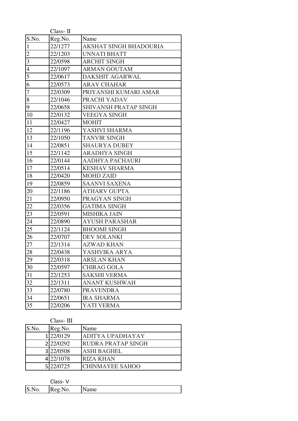|                | $Class-\Pi$ |                               |
|----------------|-------------|-------------------------------|
| S.No.          | Reg.No.     | Name                          |
| $\mathbf{1}$   | 22/1277     | <b>AKSHAT SINGH BHADOURIA</b> |
| $\overline{2}$ | 22/1203     | <b>UNNATI BHATT</b>           |
| 3              | 22/0598     | <b>ARCHIT SINGH</b>           |
| $\overline{4}$ | 22/1097     | <b>ARMAN GOUTAM</b>           |
| $\overline{5}$ | 22/0617     | DAKSHIT AGARWAL               |
| $\overline{6}$ | 22/0573     | <b>ARAV CHAHAR</b>            |
| $\overline{7}$ | 22/0309     | PRIYANSHI KUMARI AMAR         |
| 8              | 22/1046     | PRACHI YADAV                  |
| 9              | 22/0658     | <b>SHIVANSH PRATAP SINGH</b>  |
| 10             | 22/0132     | <b>VEEGYA SINGH</b>           |
| 11             | 22/0427     | <b>MOHIT</b>                  |
| 12             | 22/1196     | YASHVI SHARMA                 |
| 13             | 22/1050     | <b>TANVIR SINGH</b>           |
| 14             | 22/0851     | <b>SHAURYA DUBEY</b>          |
| 15             | 22/1142     | <b>ARADHYA SINGH</b>          |
| 16             | 22/0144     | <b>AADHYA PACHAURI</b>        |
| 17             | 22/0514     | <b>KESHAV SHARMA</b>          |
| 18             | 22/0420     | <b>MOHD ZAID</b>              |
| 19             | 22/0859     | <b>SAANVI SAXENA</b>          |
| 20             | 22/1186     | <b>ATHARV GUPTA</b>           |
| 21             | 22/0950     | PRAGYAN SINGH                 |
| 22             | 22/0356     | <b>GATIMA SINGH</b>           |
| 23             | 22/0591     | <b>MISHIKA JAIN</b>           |
| 24             | 22/0890     | <b>AYUSH PARASHAR</b>         |
| 25             | 22/1124     | <b>BHOOMI SINGH</b>           |
| 26             | 22/0707     | <b>DEV SOLANKI</b>            |
| 27             | 22/1314     | <b>AZWAD KHAN</b>             |
| 28             | 22/0438     | YASHVIKA ARYA                 |
| 29             | 22/0318     | ARSLAN KHAN                   |
| 30             | 22/0597     | <b>CHIRAG GOLA</b>            |
| 31             | 22/1253     | <b>SAKSHI VERMA</b>           |
| 32             | 22/1311     | <b>ANANT KUSHWAH</b>          |
| 33             | 22/0780     | <b>PRAVENDRA</b>              |
| 34             | 22/0651     | <b>IRA SHARMA</b>             |
| 35             | 22/0206     | YATI VERMA                    |
|                |             |                               |

Class- III

|       | Сказэ- 111      |                           |
|-------|-----------------|---------------------------|
| S.No. | Reg.No.         | Name                      |
|       | 1 22/0129       | <b>ADITYA UPADHAYAY</b>   |
|       | 2 2 2 2 0 2 9 2 | <b>RUDRA PRATAP SINGH</b> |
|       | 3 22/0508       | <b>ASHI BAGHEL</b>        |
|       | 422/1078        | <b>RIZA KHAN</b>          |
|       | 5 22/0725       | <b>CHINMAYEE SAHOO</b>    |

|                | ∩lass-V<br>ددەن |              |
|----------------|-----------------|--------------|
| <b>10.IVO.</b> | D<br>Reg.No.    | $\Delta$ ame |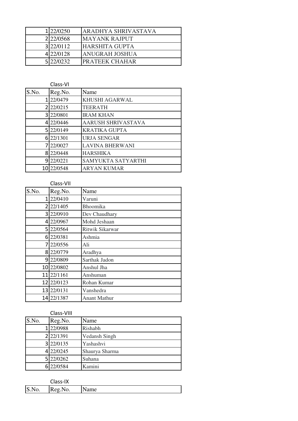| 1 22/0250       | <b>ARADHYA SHRIVASTAVA</b> |
|-----------------|----------------------------|
| 2 2 2 2 0 5 6 8 | <b>MAYANK RAJPUT</b>       |
| 3 22/0112       | <b>HARSHITA GUPTA</b>      |
| 422/0128        | <b>ANUGRAH JOSHUA</b>      |
| 5 22/0232       | <b>PRATEEK CHAHAR</b>      |

|       | Class-VI |                           |
|-------|----------|---------------------------|
| S.No. | Reg.No.  | Name                      |
| 1     | 22/0479  | <b>KHUSHI AGARWAL</b>     |
| 2     | 22/0215  | <b>TEERATH</b>            |
| 3     | 22/0801  | <b>IRAM KHAN</b>          |
| 4     | 22/0446  | <b>AARUSH SHRIVASTAVA</b> |
| 5     | 22/0149  | <b>KRATIKA GUPTA</b>      |
| 6     | 22/1301  | <b>URJA SENGAR</b>        |
|       | 22/0027  | <b>LAVINA BHERWANI</b>    |
| 8     | 22/0448  | <b>HARSHIKA</b>           |
| 9     | 22/0221  | <b>SAMYUKTA SATYARTHI</b> |
| 10    | 22/0548  | <b>ARYAN KUMAR</b>        |

|                | Class-VII  |                     |
|----------------|------------|---------------------|
| S.No.          | Reg.No.    | Name                |
| 1              | 22/0410    | Varuni              |
| $\overline{2}$ | 22/1405    | Bhoomika            |
|                | 3 22/0910  | Dev Chaudhary       |
|                | 4 22/0967  | Mohd Jeshaan        |
|                | 5 22/0564  | Ritwik Sikarwar     |
|                | 6 22/0381  | Ashmia              |
| 7              | 22/0556    | Ali                 |
|                | 8 22/0779  | Aradhya             |
|                | 9 22/0809  | Sarthak Jadon       |
|                | 10 22/0802 | Anshul Jha          |
|                | 11 22/1161 | Anshuman            |
|                | 12 22/0123 | Rohan Kumar         |
|                | 13 22/0131 | Vanshedra           |
|                | 14 22/1387 | <b>Anant Mathur</b> |

|       | Class-VIII    |                |
|-------|---------------|----------------|
| S.No. | Reg.No.       | Name           |
|       | 1 22/0988     | Rishabh        |
|       | 2 2 2 1 3 9 1 | Vedansh Singh  |
|       | 3 22/0135     | Yashashvi      |
|       | 4 22/0245     | Shaurya Sharma |
|       | 5 22/0262     | Suhana         |
|       | 6 22/0584     | Kamini         |
|       |               |                |

|              | Class-IX          |     |
|--------------|-------------------|-----|
| ΙC<br>I5.N0. | D<br>.No.<br>Reg. | ame |